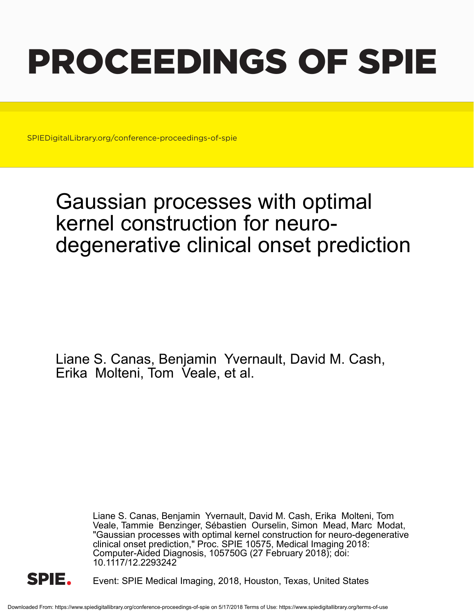# PROCEEDINGS OF SPIE

SPIEDigitalLibrary.org/conference-proceedings-of-spie

## Gaussian processes with optimal kernel construction for neurodegenerative clinical onset prediction

Liane S. Canas, Benjamin Yvernault, David M. Cash, Erika Molteni, Tom Veale, et al.

> Liane S. Canas, Benjamin Yvernault, David M. Cash, Erika Molteni, Tom Veale, Tammie Benzinger, Sébastien Ourselin, Simon Mead, Marc Modat, "Gaussian processes with optimal kernel construction for neuro-degenerative clinical onset prediction," Proc. SPIE 10575, Medical Imaging 2018: Computer-Aided Diagnosis, 105750G (27 February 2018); doi: 10.1117/12.2293242



Event: SPIE Medical Imaging, 2018, Houston, Texas, United States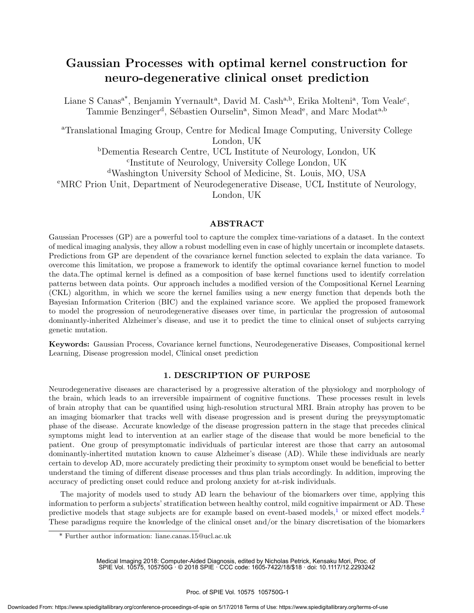### Gaussian Processes with optimal kernel construction for neuro-degenerative clinical onset prediction

Liane S Canas<sup>a\*</sup>, Benjamin Yvernault<sup>a</sup>, David M. Cash<sup>a,b</sup>, Erika Molteni<sup>a</sup>, Tom Veale<sup>c</sup>, Tammie Benzinger<sup>d</sup>, Sébastien Ourselin<sup>a</sup>, Simon Mead<sup>e</sup>, and Marc Modat<sup>a,b</sup>

<sup>a</sup>Translational Imaging Group, Centre for Medical Image Computing, University College London, UK

> <sup>b</sup>Dementia Research Centre, UCL Institute of Neurology, London, UK c Institute of Neurology, University College London, UK

<sup>d</sup>Washington University School of Medicine, St. Louis, MO, USA

<sup>e</sup>MRC Prion Unit, Department of Neurodegenerative Disease, UCL Institute of Neurology,

London, UK

#### ABSTRACT

Gaussian Processes (GP) are a powerful tool to capture the complex time-variations of a dataset. In the context of medical imaging analysis, they allow a robust modelling even in case of highly uncertain or incomplete datasets. Predictions from GP are dependent of the covariance kernel function selected to explain the data variance. To overcome this limitation, we propose a framework to identify the optimal covariance kernel function to model the data.The optimal kernel is defined as a composition of base kernel functions used to identify correlation patterns between data points. Our approach includes a modified version of the Compositional Kernel Learning (CKL) algorithm, in which we score the kernel families using a new energy function that depends both the Bayesian Information Criterion (BIC) and the explained variance score. We applied the proposed framework to model the progression of neurodegenerative diseases over time, in particular the progression of autosomal dominantly-inherited Alzheimer's disease, and use it to predict the time to clinical onset of subjects carrying genetic mutation.

Keywords: Gaussian Process, Covariance kernel functions, Neurodegenerative Diseases, Compositional kernel Learning, Disease progression model, Clinical onset prediction

#### 1. DESCRIPTION OF PURPOSE

Neurodegenerative diseases are characterised by a progressive alteration of the physiology and morphology of the brain, which leads to an irreversible impairment of cognitive functions. These processes result in levels of brain atrophy that can be quantified using high-resolution structural MRI. Brain atrophy has proven to be an imaging biomarker that tracks well with disease progression and is present during the preysymptomatic phase of the disease. Accurate knowledge of the disease progression pattern in the stage that precedes clinical symptoms might lead to intervention at an earlier stage of the disease that would be more beneficial to the patient. One group of presymptomatic individuals of particular interest are those that carry an autosomal dominantly-inhertited mutation known to cause Alzheimer's disease (AD). While these individuals are nearly certain to develop AD, more accurately predicting their proximity to symptom onset would be beneficial to better understand the timing of different disease processes and thus plan trials accordingly. In addition, improving the accuracy of predicting onset could reduce and prolong anxiety for at-risk individuals.

The majority of models used to study AD learn the behaviour of the biomarkers over time, applying this information to perform a subjects' stratification between healthy control, mild cognitive impairment or AD. These predictive models that stage subjects are for example based on event-based models,<sup>1</sup> or mixed effect models.<sup>2</sup> These paradigms require the knowledge of the clinical onset and/or the binary discretisation of the biomarkers

Medical Imaging 2018: Computer-Aided Diagnosis, edited by Nicholas Petrick, Kensaku Mori, Proc. of SPIE Vol. 10575, 105750G · © 2018 SPIE · CCC code: 1605-7422/18/\$18 · doi: 10.1117/12.2293242

<sup>\*</sup> Further author information: liane.canas.15@ucl.ac.uk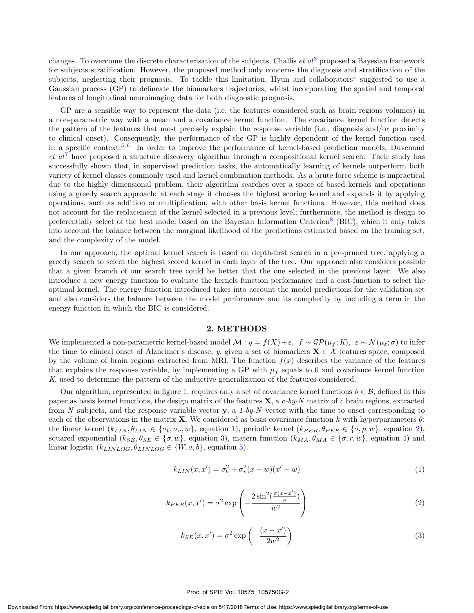changes. To overcome the discrete characterisation of the subjects, Challis *et al*<sup>3</sup> proposed a Bayesian framework for subjects stratification. However, the proposed method only concerns the diagnosis and stratification of the subjects, neglecting their prognosis. To tackle this limitation, Hyun and collaborators<sup>4</sup> suggested to use a Gaussian process (GP) to delineate the biomarkers trajectories, whilst incorporating the spatial and temporal features of longitudinal neuroimaging data for both diagnostic prognosis.

GP are a sensible way to represent the data (i.e, the features considered such as brain regions volumes) in a non-parametric way with a mean and a covariance kernel function. The covariance kernel function detects the pattern of the features that most precisely explain the response variable (i.e., diagnosis and/or proximity to clinical onset). Consequently, the performance of the GP is highly dependent of the kernel function used in a specific context.<sup>5,6</sup> In order to improve the performance of kernel-based prediction models, Duvenaud  $et\ al^7$  have proposed a structure discovery algorithm through a compositional kernel search. Their study has successfully shown that, in supervised prediction tasks, the automatically learning of kernels outperform both variety of kernel classes commonly used and kernel combination methods. As a brute force scheme is impractical due to the highly dimensional problem, their algorithm searches over a space of based kernels and operations using a greedy search approach: at each stage it chooses the highest scoring kernel and expands it by applying operations, such as addition or multiplication, with other basis kernel functions. However, this method does not account for the replacement of the kernel selected in a previous level; furthermore, the method is design to preferentially select of the best model based on the Bayesian Information Criterion<sup>8</sup> (BIC), which it only takes into account the balance between the marginal likelihood of the predictions estimated based on the training set, and the complexity of the model.

In our approach, the optimal kernel search is based on depth-first search in a pre-pruned tree, applying a greedy search to select the highest scored kernel in each layer of the tree. Our approach also considers possible that a given branch of our search tree could be better that the one selected in the previous layer. We also introduce a new energy function to evaluate the kernels function performance and a cost-function to select the optimal kernel. The energy function introduced takes into account the model predictions for the validation set and also considers the balance between the model performance and its complexity by including a term in the energy function in which the BIC is considered.

#### 2. METHODS

We implemented a non-parametric kernel-based model  $\mathcal{M}: y = f(X) + \varepsilon$ ,  $f \sim \mathcal{GP}(\mu_f; K)$ ,  $\varepsilon \sim \mathcal{N}(\mu_{\varepsilon}; \sigma)$  to infer the time to clinical onset of Alzheimer's disease, y, given a set of biomarkers  $X \in \mathcal{X}$  features space, composed by the volume of brain regions extracted from MRI. The function  $f(x)$  describes the variance of the features that explains the response variable, by implementing a GP with  $\mu_f$  equals to 0 and covariance kernel function K, used to determine the pattern of the inductive generalization of the features considered.

Our algorithm, represented in figure 1, requires only a set of covariance kernel functions  $b \in \mathcal{B}$ , defined in this paper as basis kernel functions, the design matrix of the features  $X$ , a c-by-N matrix of c brain regions, extracted from N subjects, and the response variable vector y, a 1-by-N vector with the time to onset corresponding to each of the observations in the matrix **X**. We considered as basis covariance function k with hyperparameters  $\theta$ : the linear kernel  $(k_{LIN}, \theta_{LIN} \in {\{\sigma_b, \sigma_v, w\}}$ , equation 1), periodic kernel  $(k_{PER}, \theta_{PER} \in {\{\sigma, p, w\}}$ , equation 2), squared exponential  $(k_{SE}, \theta_{SE} \in {\sigma, w}$ , equation 3), matern function  $(k_{MA}, \theta_{MA} \in {\sigma, r, w}$ , equation 4) and linear logistic  $(k_{LINLOG}, \theta_{LINLOG} \in \{W, a, b\}$ , equation 5).

$$
k_{LIN}(x, x') = \sigma_b^2 + \sigma_v^2(x - w)(x' - w)
$$
\n(1)

$$
k_{PER}(x, x') = \sigma^2 \exp\left(-\frac{2\sin^2(\frac{\pi(x - x')}{p})}{w^2}\right)
$$
\n(2)

$$
k_{SE}(x, x') = \sigma^2 \exp\left(-\frac{(x - x')}{2w^2}\right)
$$
\n(3)

#### Proc. of SPIE Vol. 10575 105750G-2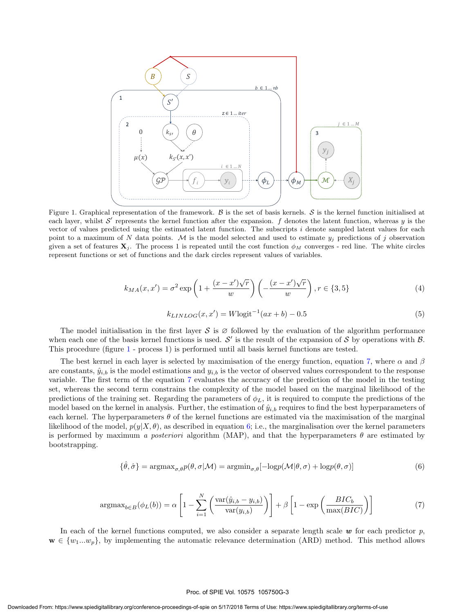

Figure 1. Graphical representation of the framework.  $\beta$  is the set of basis kernels.  $\delta$  is the kernel function initialised at each layer, whilst  $\mathcal{S}'$  represents the kernel function after the expansion.  $f$  denotes the latent function, whereas y is the vector of values predicted using the estimated latent function. The subscripts  $i$  denote sampled latent values for each point to a maximum of N data points. M is the model selected and used to estimate  $y_j$  predictions of j observation given a set of features  $X_j$ . The process 1 is repeated until the cost function  $\phi_M$  converges - red line. The white circles represent functions or set of functions and the dark circles represent values of variables.

$$
k_{MA}(x, x') = \sigma^2 \exp\left(1 + \frac{(x - x')\sqrt{r}}{w}\right) \left(-\frac{(x - x')\sqrt{r}}{w}\right), r \in \{3, 5\}
$$
 (4)

$$
k_{LINLOG}(x, x') = W\text{logit}^{-1}(ax + b) - 0.5\tag{5}
$$

The model initialisation in the first layer S is  $\varnothing$  followed by the evaluation of the algorithm performance when each one of the basis kernel functions is used.  $\mathcal{S}'$  is the result of the expansion of  $\mathcal{S}$  by operations with  $\mathcal{B}$ . This procedure (figure 1 - process 1) is performed until all basis kernel functions are tested.

The best kernel in each layer is selected by maximisation of the energy function, equation 7, where  $\alpha$  and  $\beta$ are constants,  $\hat{y}_{i,b}$  is the model estimations and  $y_{i,b}$  is the vector of observed values correspondent to the response variable. The first term of the equation 7 evaluates the accuracy of the prediction of the model in the testing set, whereas the second term constrains the complexity of the model based on the marginal likelihood of the predictions of the training set. Regarding the parameters of  $\phi_L$ , it is required to compute the predictions of the model based on the kernel in analysis. Further, the estimation of  $\hat{y}_{i,b}$  requires to find the best hyperparameters of each kernel. The hyperparameters  $\theta$  of the kernel functions are estimated via the maximisation of the marginal likelihood of the model,  $p(y|X,\theta)$ , as described in equation 6; i.e., the marginalisation over the kernel parameters is performed by maximum a posteriori algorithm (MAP), and that the hyperparameters  $\theta$  are estimated by bootstrapping.

$$
\{\hat{\theta}, \hat{\sigma}\} = \operatorname{argmax}_{\sigma, \theta} p(\theta, \sigma | \mathcal{M}) = \operatorname{argmin}_{\sigma, \theta} [-\log p(\mathcal{M} | \theta, \sigma) + \log p(\theta, \sigma)] \tag{6}
$$

$$
\operatorname{argmax}_{b \in B}(\phi_L(b)) = \alpha \left[ 1 - \sum_{i=1}^N \left( \frac{\operatorname{var}(\hat{y}_{i,b} - y_{i,b})}{\operatorname{var}(y_{i,b})} \right) \right] + \beta \left[ 1 - \exp \left( \frac{BIC_b}{\max(BIC)} \right) \right] \tag{7}
$$

In each of the kernel functions computed, we also consider a separate length scale  $w$  for each predictor  $p$ ,  $\mathbf{w} \in \{w_1...w_p\}$ , by implementing the automatic relevance determination (ARD) method. This method allows

#### Proc. of SPIE Vol. 10575 105750G-3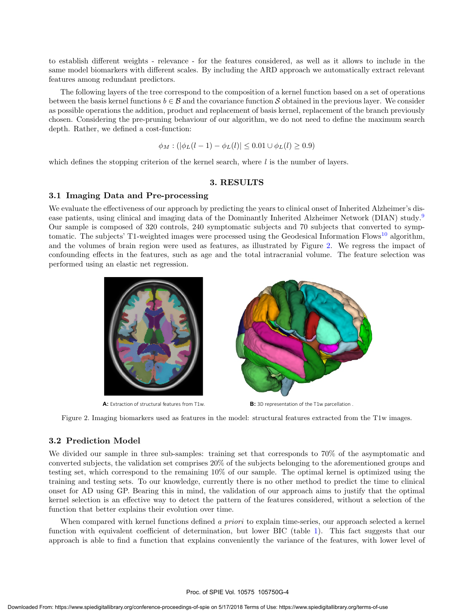to establish different weights - relevance - for the features considered, as well as it allows to include in the same model biomarkers with different scales. By including the ARD approach we automatically extract relevant features among redundant predictors.

The following layers of the tree correspond to the composition of a kernel function based on a set of operations between the basis kernel functions  $b \in \mathcal{B}$  and the covariance function S obtained in the previous layer. We consider as possible operations the addition, product and replacement of basis kernel, replacement of the branch previously chosen. Considering the pre-pruning behaviour of our algorithm, we do not need to define the maximum search depth. Rather, we defined a cost-function:

$$
\phi_M : (|\phi_L(l-1) - \phi_L(l)| \le 0.01 \cup \phi_L(l) \ge 0.9)
$$

which defines the stopping criterion of the kernel search, where  $l$  is the number of layers.

#### 3. RESULTS

#### 3.1 Imaging Data and Pre-processing

We evaluate the effectiveness of our approach by predicting the years to clinical onset of Inherited Alzheimer's disease patients, using clinical and imaging data of the Dominantly Inherited Alzheimer Network (DIAN) study.<sup>9</sup> Our sample is composed of 320 controls, 240 symptomatic subjects and 70 subjects that converted to symptomatic. The subjects' T1-weighted images were processed using the Geodesical Information Flows<sup>10</sup> algorithm, and the volumes of brain region were used as features, as illustrated by Figure 2. We regress the impact of confounding effects in the features, such as age and the total intracranial volume. The feature selection was performed using an elastic net regression.



Figure 2. Imaging biomarkers used as features in the model: structural features extracted from the T1w images.

#### 3.2 Prediction Model

We divided our sample in three sub-samples: training set that corresponds to 70% of the asymptomatic and converted subjects, the validation set comprises 20% of the subjects belonging to the aforementioned groups and testing set, which correspond to the remaining 10% of our sample. The optimal kernel is optimized using the training and testing sets. To our knowledge, currently there is no other method to predict the time to clinical onset for AD using GP. Bearing this in mind, the validation of our approach aims to justify that the optimal kernel selection is an effective way to detect the pattern of the features considered, without a selection of the function that better explains their evolution over time.

When compared with kernel functions defined a priori to explain time-series, our approach selected a kernel function with equivalent coefficient of determination, but lower BIC (table 1). This fact suggests that our approach is able to find a function that explains conveniently the variance of the features, with lower level of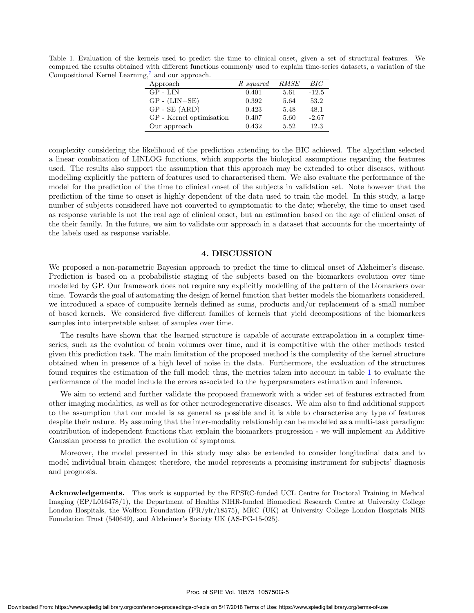Table 1. Evaluation of the kernels used to predict the time to clinical onset, given a set of structural features. We compared the results obtained with different functions commonly used to explain time-series datasets, a variation of the Compositional Kernel Learning, $^7$  and our approach.

| ,,                       |           |      |         |
|--------------------------|-----------|------|---------|
| Approach                 | R squared | RMSE | BIC     |
| GP - LIN                 | 0.401     | 5.61 | $-12.5$ |
| $GP - (LIN+SE)$          | 0.392     | 5.64 | 53.2    |
| $GP - SE (ARD)$          | 0.423     | 5.48 | 48.1    |
| GP - Kernel optimisation | 0.407     | 5.60 | $-2.67$ |
| Our approach             | 0.432     | 5.52 | 12.3    |

complexity considering the likelihood of the prediction attending to the BIC achieved. The algorithm selected a linear combination of LINLOG functions, which supports the biological assumptions regarding the features used. The results also support the assumption that this approach may be extended to other diseases, without modelling explicitly the pattern of features used to characterised them. We also evaluate the performance of the model for the prediction of the time to clinical onset of the subjects in validation set. Note however that the prediction of the time to onset is highly dependent of the data used to train the model. In this study, a large number of subjects considered have not converted to symptomatic to the date; whereby, the time to onset used as response variable is not the real age of clinical onset, but an estimation based on the age of clinical onset of the their family. In the future, we aim to validate our approach in a dataset that accounts for the uncertainty of the labels used as response variable.

#### 4. DISCUSSION

We proposed a non-parametric Bayesian approach to predict the time to clinical onset of Alzheimer's disease. Prediction is based on a probabilistic staging of the subjects based on the biomarkers evolution over time modelled by GP. Our framework does not require any explicitly modelling of the pattern of the biomarkers over time. Towards the goal of automating the design of kernel function that better models the biomarkers considered, we introduced a space of composite kernels defined as sums, products and/or replacement of a small number of based kernels. We considered five different families of kernels that yield decompositions of the biomarkers samples into interpretable subset of samples over time.

The results have shown that the learned structure is capable of accurate extrapolation in a complex timeseries, such as the evolution of brain volumes over time, and it is competitive with the other methods tested given this prediction task. The main limitation of the proposed method is the complexity of the kernel structure obtained when in presence of a high level of noise in the data. Furthermore, the evaluation of the structures found requires the estimation of the full model; thus, the metrics taken into account in table 1 to evaluate the performance of the model include the errors associated to the hyperparameters estimation and inference.

We aim to extend and further validate the proposed framework with a wider set of features extracted from other imaging modalities, as well as for other neurodegenerative diseases. We aim also to find additional support to the assumption that our model is as general as possible and it is able to characterise any type of features despite their nature. By assuming that the inter-modality relationship can be modelled as a multi-task paradigm: contribution of independent functions that explain the biomarkers progression - we will implement an Additive Gaussian process to predict the evolution of symptoms.

Moreover, the model presented in this study may also be extended to consider longitudinal data and to model individual brain changes; therefore, the model represents a promising instrument for subjects' diagnosis and prognosis.

Acknowledgements. This work is supported by the EPSRC-funded UCL Centre for Doctoral Training in Medical Imaging (EP/L016478/1), the Department of Healths NIHR-funded Biomedical Research Centre at University College London Hospitals, the Wolfson Foundation (PR/ylr/18575), MRC (UK) at University College London Hospitals NHS Foundation Trust (540649), and Alzheimer's Society UK (AS-PG-15-025).